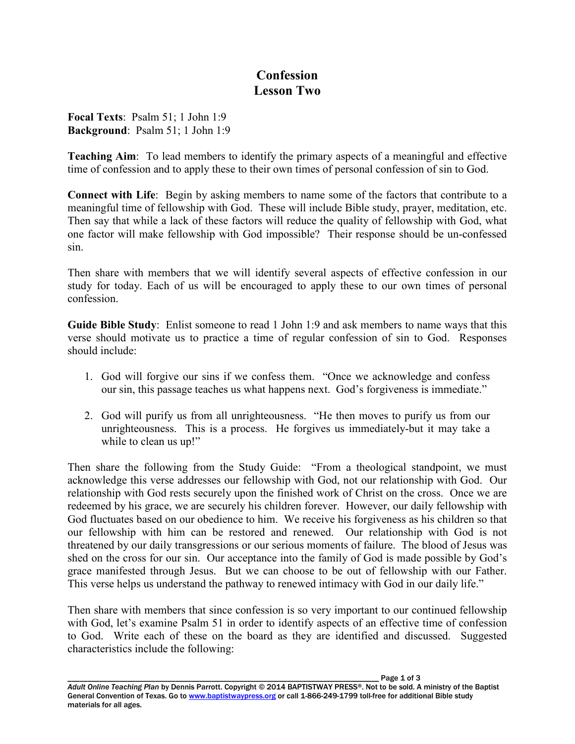## **Confession Lesson Two**

**Focal Texts**: Psalm 51; 1 John 1:9 **Background**: Psalm 51; 1 John 1:9

**Teaching Aim**: To lead members to identify the primary aspects of a meaningful and effective time of confession and to apply these to their own times of personal confession of sin to God.

**Connect with Life**: Begin by asking members to name some of the factors that contribute to a meaningful time of fellowship with God. These will include Bible study, prayer, meditation, etc. Then say that while a lack of these factors will reduce the quality of fellowship with God, what one factor will make fellowship with God impossible? Their response should be un-confessed sin.

Then share with members that we will identify several aspects of effective confession in our study for today. Each of us will be encouraged to apply these to our own times of personal confession.

**Guide Bible Study**: Enlist someone to read 1 John 1:9 and ask members to name ways that this verse should motivate us to practice a time of regular confession of sin to God. Responses should include:

- 1. God will forgive our sins if we confess them. "Once we acknowledge and confess our sin, this passage teaches us what happens next. God's forgiveness is immediate."
- 2. God will purify us from all unrighteousness. "He then moves to purify us from our unrighteousness. This is a process. He forgives us immediately-but it may take a while to clean us up!"

Then share the following from the Study Guide: "From a theological standpoint, we must acknowledge this verse addresses our fellowship with God, not our relationship with God. Our relationship with God rests securely upon the finished work of Christ on the cross. Once we are redeemed by his grace, we are securely his children forever. However, our daily fellowship with God fluctuates based on our obedience to him. We receive his forgiveness as his children so that our fellowship with him can be restored and renewed. Our relationship with God is not threatened by our daily transgressions or our serious moments of failure. The blood of Jesus was shed on the cross for our sin. Our acceptance into the family of God is made possible by God's grace manifested through Jesus. But we can choose to be out of fellowship with our Father. This verse helps us understand the pathway to renewed intimacy with God in our daily life."

Then share with members that since confession is so very important to our continued fellowship with God, let's examine Psalm 51 in order to identify aspects of an effective time of confession to God. Write each of these on the board as they are identified and discussed. Suggested characteristics include the following: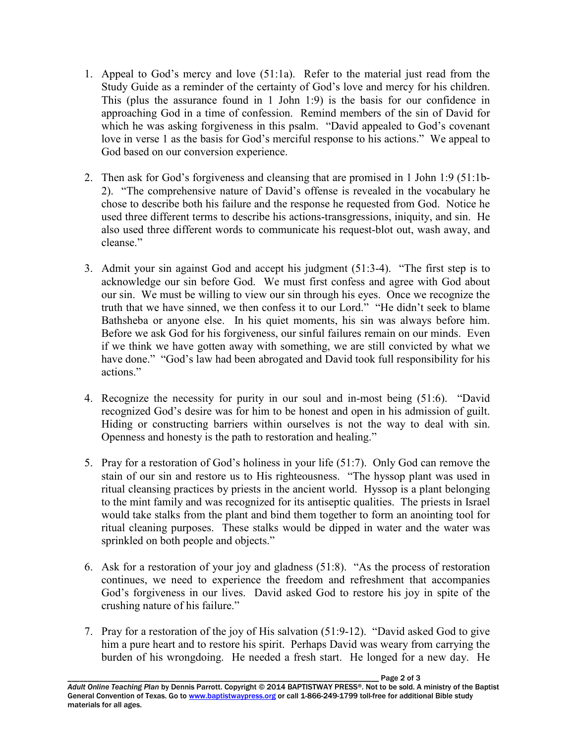- 1. Appeal to God's mercy and love (51:1a). Refer to the material just read from the Study Guide as a reminder of the certainty of God's love and mercy for his children. This (plus the assurance found in 1 John 1:9) is the basis for our confidence in approaching God in a time of confession. Remind members of the sin of David for which he was asking forgiveness in this psalm. "David appealed to God's covenant love in verse 1 as the basis for God's merciful response to his actions." We appeal to God based on our conversion experience.
- 2. Then ask for God's forgiveness and cleansing that are promised in 1 John 1:9 (51:1b-2). "The comprehensive nature of David's offense is revealed in the vocabulary he chose to describe both his failure and the response he requested from God. Notice he used three different terms to describe his actions-transgressions, iniquity, and sin. He also used three different words to communicate his request-blot out, wash away, and cleanse."
- 3. Admit your sin against God and accept his judgment (51:3-4). "The first step is to acknowledge our sin before God. We must first confess and agree with God about our sin. We must be willing to view our sin through his eyes. Once we recognize the truth that we have sinned, we then confess it to our Lord." "He didn't seek to blame Bathsheba or anyone else. In his quiet moments, his sin was always before him. Before we ask God for his forgiveness, our sinful failures remain on our minds. Even if we think we have gotten away with something, we are still convicted by what we have done." "God's law had been abrogated and David took full responsibility for his actions."
- 4. Recognize the necessity for purity in our soul and in-most being (51:6). "David recognized God's desire was for him to be honest and open in his admission of guilt. Hiding or constructing barriers within ourselves is not the way to deal with sin. Openness and honesty is the path to restoration and healing."
- 5. Pray for a restoration of God's holiness in your life (51:7). Only God can remove the stain of our sin and restore us to His righteousness. "The hyssop plant was used in ritual cleansing practices by priests in the ancient world. Hyssop is a plant belonging to the mint family and was recognized for its antiseptic qualities. The priests in Israel would take stalks from the plant and bind them together to form an anointing tool for ritual cleaning purposes. These stalks would be dipped in water and the water was sprinkled on both people and objects."
- 6. Ask for a restoration of your joy and gladness (51:8). "As the process of restoration continues, we need to experience the freedom and refreshment that accompanies God's forgiveness in our lives. David asked God to restore his joy in spite of the crushing nature of his failure."
- 7. Pray for a restoration of the joy of His salvation (51:9-12). "David asked God to give him a pure heart and to restore his spirit. Perhaps David was weary from carrying the burden of his wrongdoing. He needed a fresh start. He longed for a new day. He

Page 2 of 3 *Adult Online Teaching Plan* by Dennis Parrott. Copyright © 2014 BAPTISTWAY PRESS®. Not to be sold. A ministry of the Baptist General Convention of Texas. Go to www.baptistwaypress.org or call 1-866-249-1799 toll-free for additional Bible study materials for all ages.